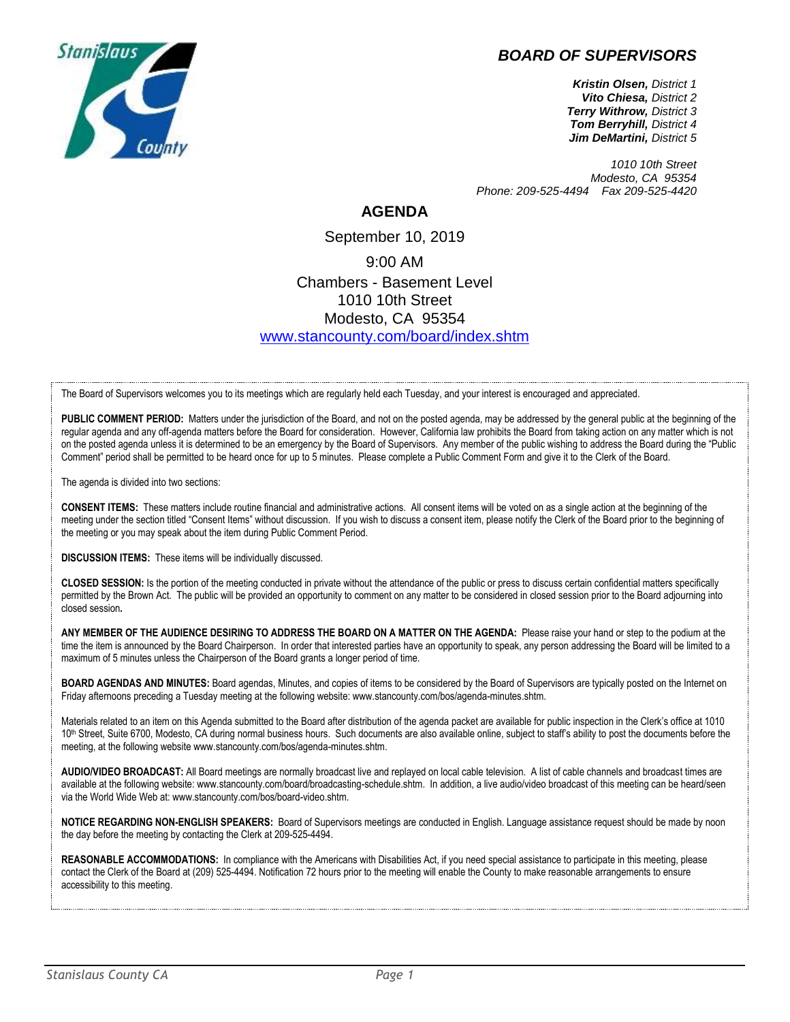## *BOARD OF SUPERVISORS*



*Kristin Olsen, District 1 Vito Chiesa, District 2 Terry Withrow, District 3 Tom Berryhill, District 4 Jim DeMartini, District 5*

*1010 10th Street Modesto, CA 95354 Phone: 209-525-4494 Fax 209-525-4420*

## **AGENDA**

September 10, 2019 9:00 AM Chambers - Basement Level 1010 10th Street Modesto, CA 95354 [www.stancounty.com/board/index.shtm](http://www.stancounty.com/board/index.shtm)

The Board of Supervisors welcomes you to its meetings which are regularly held each Tuesday, and your interest is encouraged and appreciated.

PUBLIC COMMENT PERIOD: Matters under the jurisdiction of the Board, and not on the posted agenda, may be addressed by the general public at the beginning of the regular agenda and any off-agenda matters before the Board for consideration. However, California law prohibits the Board from taking action on any matter which is not on the posted agenda unless it is determined to be an emergency by the Board of Supervisors. Any member of the public wishing to address the Board during the "Public Comment" period shall be permitted to be heard once for up to 5 minutes. Please complete a Public Comment Form and give it to the Clerk of the Board.

The agenda is divided into two sections:

**CONSENT ITEMS:** These matters include routine financial and administrative actions. All consent items will be voted on as a single action at the beginning of the meeting under the section titled "Consent Items" without discussion. If you wish to discuss a consent item, please notify the Clerk of the Board prior to the beginning of the meeting or you may speak about the item during Public Comment Period.

**DISCUSSION ITEMS:** These items will be individually discussed.

**CLOSED SESSION:** Is the portion of the meeting conducted in private without the attendance of the public or press to discuss certain confidential matters specifically permitted by the Brown Act. The public will be provided an opportunity to comment on any matter to be considered in closed session prior to the Board adjourning into closed session**.**

**ANY MEMBER OF THE AUDIENCE DESIRING TO ADDRESS THE BOARD ON A MATTER ON THE AGENDA:** Please raise your hand or step to the podium at the time the item is announced by the Board Chairperson. In order that interested parties have an opportunity to speak, any person addressing the Board will be limited to a maximum of 5 minutes unless the Chairperson of the Board grants a longer period of time.

**BOARD AGENDAS AND MINUTES:** Board agendas, Minutes, and copies of items to be considered by the Board of Supervisors are typically posted on the Internet on Friday afternoons preceding a Tuesday meeting at the following website: www.stancounty.com/bos/agenda-minutes.shtm.

Materials related to an item on this Agenda submitted to the Board after distribution of the agenda packet are available for public inspection in the Clerk's office at 1010 10<sup>th</sup> Street, Suite 6700, Modesto, CA during normal business hours. Such documents are also available online, subject to staff's ability to post the documents before the meeting, at the following website www.stancounty.com/bos/agenda-minutes.shtm.

**AUDIO/VIDEO BROADCAST:** All Board meetings are normally broadcast live and replayed on local cable television. A list of cable channels and broadcast times are available at the following website: www.stancounty.com/board/broadcasting-schedule.shtm. In addition, a live audio/video broadcast of this meeting can be heard/seen via the World Wide Web at: www.stancounty.com/bos/board-video.shtm.

**NOTICE REGARDING NON-ENGLISH SPEAKERS:** Board of Supervisors meetings are conducted in English. Language assistance request should be made by noon the day before the meeting by contacting the Clerk at 209-525-4494.

REASONABLE ACCOMMODATIONS: In compliance with the Americans with Disabilities Act, if you need special assistance to participate in this meeting, please contact the Clerk of the Board at (209) 525-4494. Notification 72 hours prior to the meeting will enable the County to make reasonable arrangements to ensure accessibility to this meeting.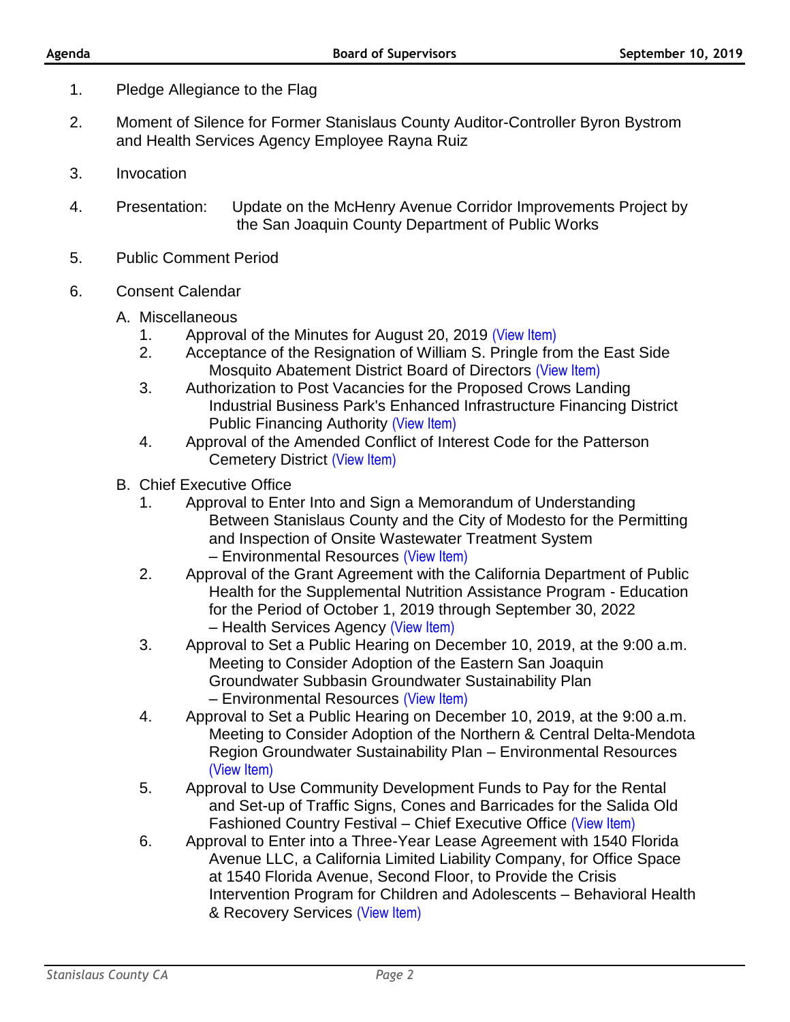- 1. Pledge Allegiance to the Flag
- 2. Moment of Silence for Former Stanislaus County Auditor-Controller Byron Bystrom and Health Services Agency Employee Rayna Ruiz
- 3. Invocation
- 4. Presentation: Update on the McHenry Avenue Corridor Improvements Project by the San Joaquin County Department of Public Works
- 5. Public Comment Period
- 6. Consent Calendar
	- A. Miscellaneous
		- 1. Approval of the Minutes for August 20, 2019 [\(View Item\)](http://stancounty.com/bos/minutes/2019/min08-20-19.pdf)
		- 2. Acceptance of the Resignation of William S. Pringle from the East Side Mosquito Abatement District Board of Directors [\(View Item\)](http://stancounty.com/bos/agenda/2019/20190910/A02.pdf)
		- 3. Authorization to Post Vacancies for the Proposed Crows Landing Industrial Business Park's Enhanced Infrastructure Financing District Public Financing Authority [\(View Item\)](http://stancounty.com/bos/agenda/2019/20190910/A03.pdf)
		- 4. Approval of the Amended Conflict of Interest Code for the Patterson Cemetery District [\(View Item\)](http://stancounty.com/bos/agenda/2019/20190910/A04.pdf)
	- B. Chief Executive Office
		- 1. Approval to Enter Into and Sign a Memorandum of Understanding Between Stanislaus County and the City of Modesto for the Permitting and Inspection of Onsite Wastewater Treatment System – Environmental Resources [\(View Item\)](http://stancounty.com/bos/agenda/2019/20190910/B01.pdf)
		- 2. Approval of the Grant Agreement with the California Department of Public Health for the Supplemental Nutrition Assistance Program - Education for the Period of October 1, 2019 through September 30, 2022 – Health Services Agency [\(View Item\)](http://stancounty.com/bos/agenda/2019/20190910/B02.pdf)
		- 3. Approval to Set a Public Hearing on December 10, 2019, at the 9:00 a.m. Meeting to Consider Adoption of the Eastern San Joaquin Groundwater Subbasin Groundwater Sustainability Plan – Environmental Resources [\(View Item\)](http://stancounty.com/bos/agenda/2019/20190910/B03.pdf)
		- 4. Approval to Set a Public Hearing on December 10, 2019, at the 9:00 a.m. Meeting to Consider Adoption of the Northern & Central Delta-Mendota Region Groundwater Sustainability Plan – Environmental Resources [\(View Item\)](http://stancounty.com/bos/agenda/2019/20190910/B04.pdf)
		- 5. Approval to Use Community Development Funds to Pay for the Rental and Set-up of Traffic Signs, Cones and Barricades for the Salida Old Fashioned Country Festival – Chief Executive Office [\(View Item\)](http://stancounty.com/bos/agenda/2019/20190910/B05.pdf)
		- 6. Approval to Enter into a Three-Year Lease Agreement with 1540 Florida Avenue LLC, a California Limited Liability Company, for Office Space at 1540 Florida Avenue, Second Floor, to Provide the Crisis Intervention Program for Children and Adolescents – Behavioral Health & Recovery Services [\(View Item\)](http://stancounty.com/bos/agenda/2019/20190910/B06.pdf)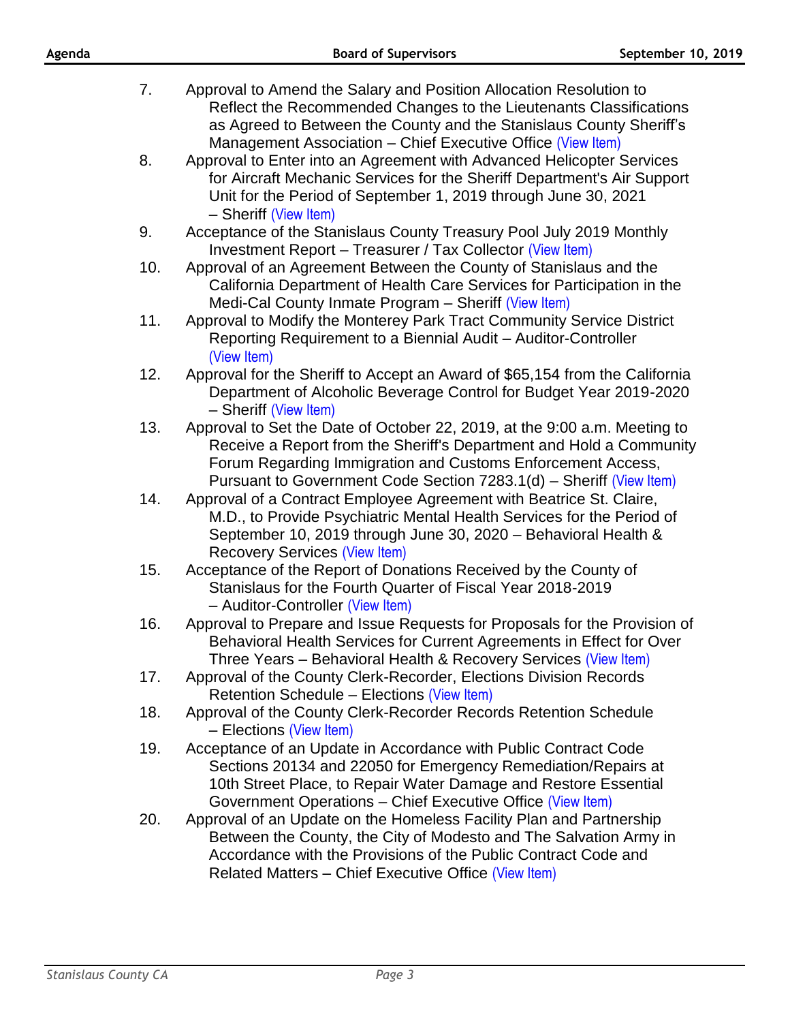| Agenda | <b>Board of Supervisors</b>                                                                                                                                                                                                                                                            | September 10, 2019 |
|--------|----------------------------------------------------------------------------------------------------------------------------------------------------------------------------------------------------------------------------------------------------------------------------------------|--------------------|
| 7.     | Approval to Amend the Salary and Position Allocation Resolution to<br>Reflect the Recommended Changes to the Lieutenants Classifications<br>as Agreed to Between the County and the Stanislaus County Sheriff's<br>Management Association - Chief Executive Office (View Item)         |                    |
| 8.     | Approval to Enter into an Agreement with Advanced Helicopter Services<br>for Aircraft Mechanic Services for the Sheriff Department's Air Support<br>Unit for the Period of September 1, 2019 through June 30, 2021<br>- Sheriff (View Item)                                            |                    |
| 9.     | Acceptance of the Stanislaus County Treasury Pool July 2019 Monthly<br>Investment Report - Treasurer / Tax Collector (View Item)                                                                                                                                                       |                    |
| 10.    | Approval of an Agreement Between the County of Stanislaus and the<br>California Department of Health Care Services for Participation in the<br>Medi-Cal County Inmate Program - Sheriff (View Item)                                                                                    |                    |
| 11.    | Approval to Modify the Monterey Park Tract Community Service District<br>Reporting Requirement to a Biennial Audit - Auditor-Controller<br>(View Item)                                                                                                                                 |                    |
| 12.    | Approval for the Sheriff to Accept an Award of \$65,154 from the California<br>Department of Alcoholic Beverage Control for Budget Year 2019-2020<br>- Sheriff (View Item)                                                                                                             |                    |
| 13.    | Approval to Set the Date of October 22, 2019, at the 9:00 a.m. Meeting to<br>Receive a Report from the Sheriff's Department and Hold a Community<br>Forum Regarding Immigration and Customs Enforcement Access,<br>Pursuant to Government Code Section 7283.1(d) - Sheriff (View Item) |                    |
| 14.    | Approval of a Contract Employee Agreement with Beatrice St. Claire,<br>M.D., to Provide Psychiatric Mental Health Services for the Period of<br>September 10, 2019 through June 30, 2020 - Behavioral Health &<br><b>Recovery Services (View Item)</b>                                 |                    |
| 15.    | Acceptance of the Report of Donations Received by the County of<br>Stanislaus for the Fourth Quarter of Fiscal Year 2018-2019<br>- Auditor-Controller (View Item)                                                                                                                      |                    |
| 16.    | Approval to Prepare and Issue Requests for Proposals for the Provision of<br>Behavioral Health Services for Current Agreements in Effect for Over<br>Three Years - Behavioral Health & Recovery Services (View Item)                                                                   |                    |
| 17.    | Approval of the County Clerk-Recorder, Elections Division Records<br>Retention Schedule - Elections (View Item)                                                                                                                                                                        |                    |
| 18.    | Approval of the County Clerk-Recorder Records Retention Schedule<br>- Elections (View Item)                                                                                                                                                                                            |                    |
| 19.    | Acceptance of an Update in Accordance with Public Contract Code<br>Sections 20134 and 22050 for Emergency Remediation/Repairs at<br>10th Street Place, to Repair Water Damage and Restore Essential<br>Government Operations - Chief Executive Office (View Item)                      |                    |
| 20.    | Approval of an Update on the Homeless Facility Plan and Partnership<br>Between the County, the City of Modesto and The Salvation Army in<br>Accordance with the Provisions of the Public Contract Code and<br>Related Matters – Chief Executive Office (View Item)                     |                    |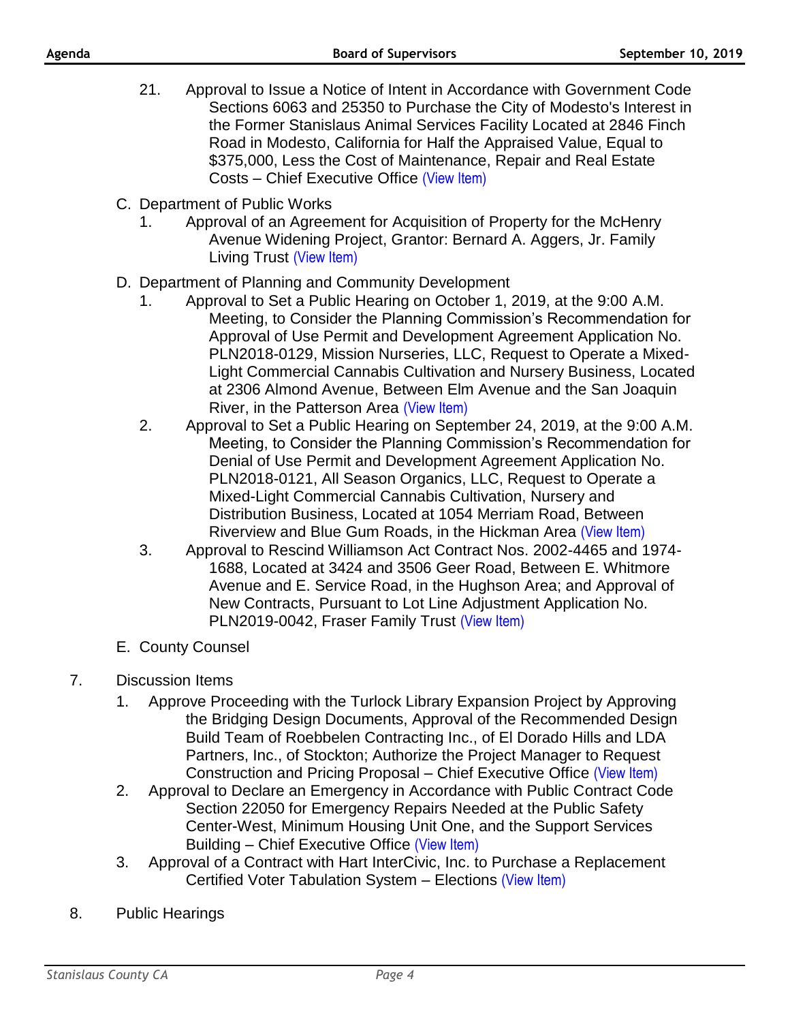- 21. Approval to Issue a Notice of Intent in Accordance with Government Code Sections 6063 and 25350 to Purchase the City of Modesto's Interest in the Former Stanislaus Animal Services Facility Located at 2846 Finch Road in Modesto, California for Half the Appraised Value, Equal to \$375,000, Less the Cost of Maintenance, Repair and Real Estate Costs – Chief Executive Office [\(View Item\)](http://stancounty.com/bos/agenda/2019/20190910/B21.pdf)
- C. Department of Public Works
	- 1. Approval of an Agreement for Acquisition of Property for the McHenry Avenue Widening Project, Grantor: Bernard A. Aggers, Jr. Family Living Trust [\(View Item\)](http://stancounty.com/bos/agenda/2019/20190910/C01.pdf)
- D. Department of Planning and Community Development
	- 1. Approval to Set a Public Hearing on October 1, 2019, at the 9:00 A.M. Meeting, to Consider the Planning Commission's Recommendation for Approval of Use Permit and Development Agreement Application No. PLN2018-0129, Mission Nurseries, LLC, Request to Operate a Mixed-Light Commercial Cannabis Cultivation and Nursery Business, Located at 2306 Almond Avenue, Between Elm Avenue and the San Joaquin River, in the Patterson Area [\(View Item\)](http://stancounty.com/bos/agenda/2019/20190910/D01.pdf)
	- 2. Approval to Set a Public Hearing on September 24, 2019, at the 9:00 A.M. Meeting, to Consider the Planning Commission's Recommendation for Denial of Use Permit and Development Agreement Application No. PLN2018-0121, All Season Organics, LLC, Request to Operate a Mixed-Light Commercial Cannabis Cultivation, Nursery and Distribution Business, Located at 1054 Merriam Road, Between Riverview and Blue Gum Roads, in the Hickman Area [\(View Item\)](http://stancounty.com/bos/agenda/2019/20190910/D02.pdf)
	- 3. Approval to Rescind Williamson Act Contract Nos. 2002-4465 and 1974- 1688, Located at 3424 and 3506 Geer Road, Between E. Whitmore Avenue and E. Service Road, in the Hughson Area; and Approval of New Contracts, Pursuant to Lot Line Adjustment Application No. PLN2019-0042, Fraser Family Trust [\(View Item\)](http://stancounty.com/bos/agenda/2019/20190910/D03.pdf)
- E. County Counsel

## 7. Discussion Items

- 1. Approve Proceeding with the Turlock Library Expansion Project by Approving the Bridging Design Documents, Approval of the Recommended Design Build Team of Roebbelen Contracting Inc., of El Dorado Hills and LDA Partners, Inc., of Stockton; Authorize the Project Manager to Request Construction and Pricing Proposal – Chief Executive Office [\(View Item\)](http://stancounty.com/bos/agenda/2019/20190910/DIS01.pdf)
- 2. Approval to Declare an Emergency in Accordance with Public Contract Code Section 22050 for Emergency Repairs Needed at the Public Safety Center-West, Minimum Housing Unit One, and the Support Services Building – Chief Executive Office [\(View Item\)](http://stancounty.com/bos/agenda/2019/20190910/DIS02.pdf)
- 3. Approval of a Contract with Hart InterCivic, Inc. to Purchase a Replacement Certified Voter Tabulation System – Elections [\(View Item\)](http://stancounty.com/bos/agenda/2019/20190910/DIS03.pdf)
- 8. Public Hearings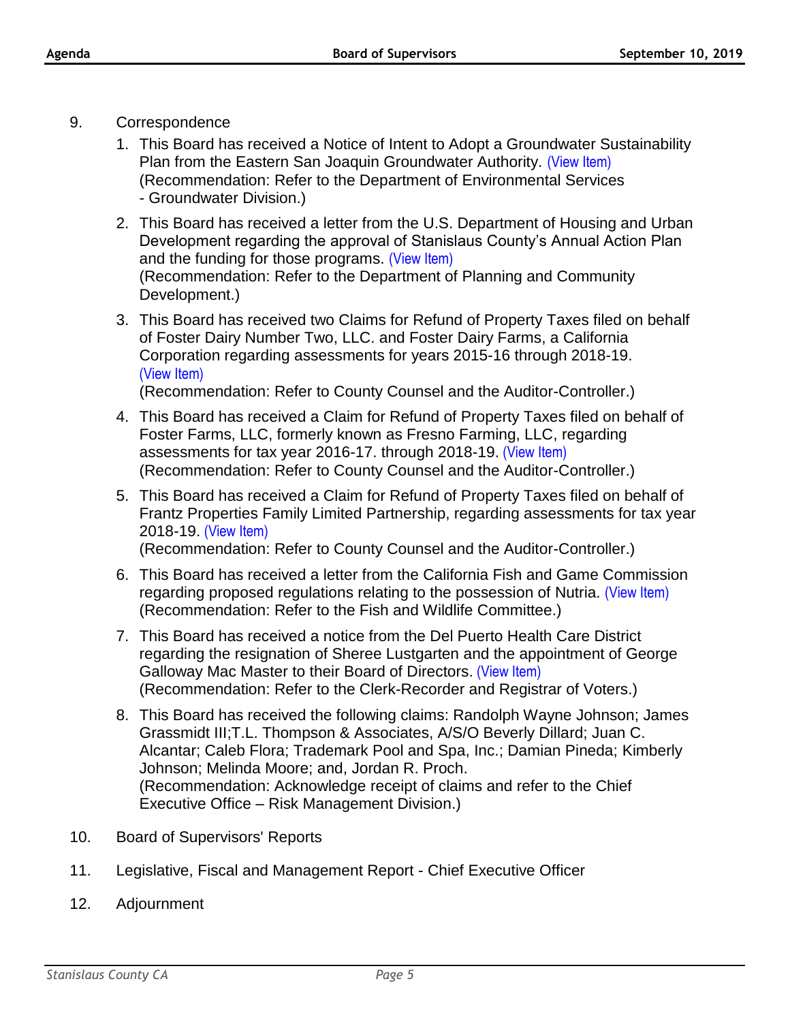- 9. Correspondence
	- 1. This Board has received a Notice of Intent to Adopt a Groundwater Sustainability Plan from the Eastern San Joaquin Groundwater Authority. [\(View Item\)](http://stancounty.com/bos/agenda/2019/20190910/Corr01.pdf) (Recommendation: Refer to the Department of Environmental Services - Groundwater Division.)
	- 2. This Board has received a letter from the U.S. Department of Housing and Urban Development regarding the approval of Stanislaus County's Annual Action Plan and the funding for those programs. [\(View Item\)](http://stancounty.com/bos/agenda/2019/20190910/Corr02.pdf) (Recommendation: Refer to the Department of Planning and Community Development.)
	- 3. This Board has received two Claims for Refund of Property Taxes filed on behalf of Foster Dairy Number Two, LLC. and Foster Dairy Farms, a California Corporation regarding assessments for years 2015-16 through 2018-19. [\(View Item\)](http://stancounty.com/bos/agenda/2019/20190910/Corr03.pdf)

(Recommendation: Refer to County Counsel and the Auditor-Controller.)

- 4. This Board has received a Claim for Refund of Property Taxes filed on behalf of Foster Farms, LLC, formerly known as Fresno Farming, LLC, regarding assessments for tax year 2016-17. through 2018-19. [\(View Item\)](http://stancounty.com/bos/agenda/2019/20190910/Corr04.pdf) (Recommendation: Refer to County Counsel and the Auditor-Controller.)
- 5. This Board has received a Claim for Refund of Property Taxes filed on behalf of Frantz Properties Family Limited Partnership, regarding assessments for tax year 2018-19. [\(View Item\)](http://stancounty.com/bos/agenda/2019/20190910/Corr05.pdf) (Recommendation: Refer to County Counsel and the Auditor-Controller.)

6. This Board has received a letter from the California Fish and Game Commission

- regarding proposed regulations relating to the possession of Nutria. [\(View Item\)](http://stancounty.com/bos/agenda/2019/20190910/Corr06.pdf) (Recommendation: Refer to the Fish and Wildlife Committee.)
- 7. This Board has received a notice from the Del Puerto Health Care District regarding the resignation of Sheree Lustgarten and the appointment of George Galloway Mac Master to their Board of Directors. [\(View Item\)](http://stancounty.com/bos/agenda/2019/20190910/Corr07.pdf) (Recommendation: Refer to the Clerk-Recorder and Registrar of Voters.)
- 8. This Board has received the following claims: Randolph Wayne Johnson; James Grassmidt III;T.L. Thompson & Associates, A/S/O Beverly Dillard; Juan C. Alcantar; Caleb Flora; Trademark Pool and Spa, Inc.; Damian Pineda; Kimberly Johnson; Melinda Moore; and, Jordan R. Proch. (Recommendation: Acknowledge receipt of claims and refer to the Chief Executive Office – Risk Management Division.)
- 10. Board of Supervisors' Reports
- 11. Legislative, Fiscal and Management Report Chief Executive Officer
- 12. Adjournment